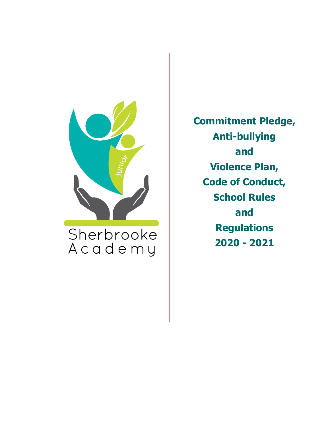

**Commitment Pledge, Anti-bullying and Violence Plan, Code of Conduct, School Rules and Regulations 2020 - 2021**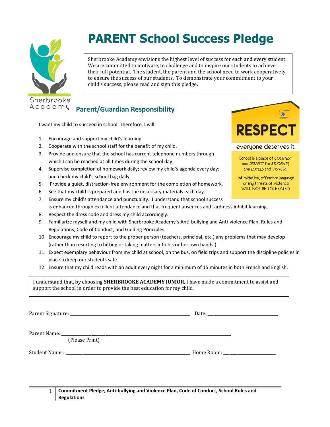

# **PARENT School Success Pledge**

Sherbrooke Academy envisions the highest level of success for each and every student. We are committed to motivate, to challenge and to inspire our students to achieve their full potential. The student, the parent and the school need to work cooperatively to ensure the success of our students. To demonstrate your commitment to your child's success, please read and sign this pledge.

### **Parent/Guardian Responsibility**

I want my child to succeed in school. Therefore, I will:

- 1. Encourage and support my child's learning.
- 2. Cooperate with the school staff for the benefit of my child.
- 3. Provide and ensure that the school has current telephone numbers through which I can be reached at all times during the school day.
- 4. Supervise completion of homework daily; review my child's agenda every day; and check my child's school bag daily.
- 5. Provide a quiet, distraction-free environment for the completion of homework.
- 6. See that my child is prepared and has the necessary materials each day.
- 7. Ensure my child's attendance and punctuality. I understand that school success is enhanced through excellent attendance and that frequent absences and tardiness inhibit learning.
- 8. Respect the dress code and dress my child accordingly.
- 9. Familiarize myself and my child with Sherbrooke Academy's Anti-bullying and Anti-violence Plan, Rules and Regulations, Code of Conduct, and Guiding Principles.
- 10. Encourage my child to report to the proper person (teachers, principal, etc.) any problems that may develop (rather than resorting to hitting or taking matters into his or her own hands.)
- 11. Expect exemplary behaviour from my child at school, on the bus, on field trips and support the discipline policies in place to keep our students safe.
- 12. Ensure that my child reads with an adult every night for a minimum of 15 minutes in both French and English.

I understand that, by choosing **SHERBROOKE ACADEMY JUNIOR**, I have made a commitment to assist and support the school in order to provide the best education for my child.

Parent Signature: \_\_\_\_\_\_\_\_\_\_\_\_\_\_\_\_\_\_\_\_\_\_\_\_\_\_\_\_\_\_\_\_\_\_\_\_\_\_\_\_\_\_\_\_\_\_\_\_\_\_\_\_\_\_\_\_\_\_\_\_ Date: \_\_\_\_\_\_\_\_\_\_\_\_\_\_\_\_\_\_\_\_\_\_\_\_\_\_\_\_\_\_\_\_\_\_\_

Parent Name:

(Please Print)

Student Name : \_\_\_\_\_\_\_\_\_\_\_\_\_\_\_\_\_\_\_\_\_\_\_\_\_\_\_\_\_\_\_\_\_\_\_\_\_\_\_\_\_\_\_\_\_\_\_\_\_\_\_\_\_\_\_\_\_\_\_\_\_\_ Home Room: \_\_\_\_\_\_\_\_\_\_\_\_\_\_\_\_\_\_\_\_\_\_\_\_\_\_

1 **Commitment Pledge, Anti-bullying and Violence Plan, Code of Conduct, School Rules and Regulations**

**RESPECT** everyone deserves it School is a place of COURTESY

 $\bullet$ 

and RESPECT for STUDENTS, EMPLOYEES and VISITORS.

Intimidation, offensive language or any threats of violence WILL NOT BE TOLERATED.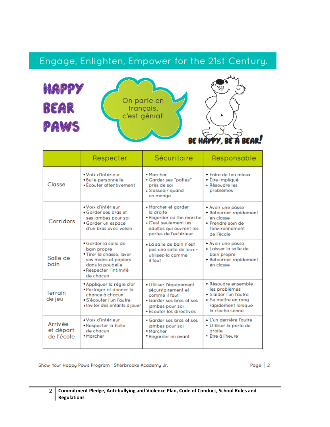# Engage, Enlighten, Empower for the 21st Century.



|                                    | Respecter                                                                                                                                          | Sécuritaire                                                                                                                                    | Responsable                                                                                                                    |
|------------------------------------|----------------------------------------------------------------------------------------------------------------------------------------------------|------------------------------------------------------------------------------------------------------------------------------------------------|--------------------------------------------------------------------------------------------------------------------------------|
| Classe                             | · Voix d'intérieur<br>. Bulle personnelle<br>- Écouter attentivement                                                                               | • Marcher<br>• Garder ses "pattes"<br>près de soi<br>· S'asseoir quand<br>on mange                                                             | · Faire de ton mieux<br>• Être impliaué<br>- Résoudre les<br>problèmes                                                         |
| Corridors                          | «Voix d'intérieur<br>• Garder ses bras et<br>ses jambes pour soi<br>• Garder un espace<br>d'un bras avec voisin                                    | Marcher et garder<br>la droite<br>- Regarder où l'on marche<br>$\cdot$ C'est seulement les<br>adultes qui ouvrent les<br>portes de l'extérieur | • Avoir une passe<br>• Retourner rapidement<br>en classe<br>· Prendre soin de<br>l'environnement<br>de l'école                 |
| Salle de<br>bain                   | • Garder la salle de<br>bain propre<br>*Tirer la chasse, laver<br>ses mains et papiers<br>dans la poubelle<br>• Respecter l'intimité<br>de chacun. | . La salle de bain n'est<br>pas une salle de jeux -<br>utilisez-la comme<br>il faut                                                            | • Avoir une passe<br>· Laisser la salle de<br>bain propre<br>• Retourner rapidement<br>en classe                               |
| Terrain<br>de jeu                  | *Appliquer la règle d'or<br>*Partager et donner la<br>chance à chacun<br>• S'écouter l'un l'autre<br>· Inviter des enfants à jouer                 | Utiliser l'équipement<br>sécuritairement et<br>comme il faut<br>• Garder ses bras et ses<br>jambes pour soi<br>• Écouter les directives        | · Résoudre ensemble<br>les problèmes<br>· S'aider I'un l'autre<br>• Se mettre en rana<br>rapidement lorsque<br>la cloche sonne |
| Arrivée<br>et départ<br>de l'école | «Voix d'intérieur<br>· Respecter la bulle<br>de chacun.<br>• Marcher                                                                               | • Garder ses bras et ses<br>jambes pour soi<br>· Marcher<br>Regarder en avant                                                                  | • L'un derrière l'autre<br>· Utiliser la porte de<br>droite<br>• Être à l'heure                                                |

Show Your Happy Paws Program Sherbrooke Academy Jr.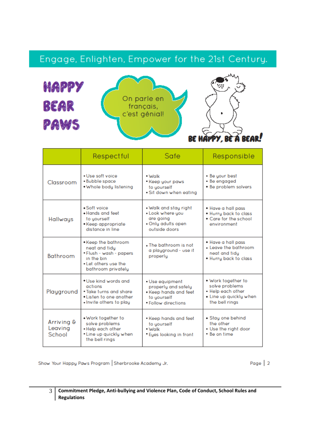## Engage, Enlighten, Empower for the 21st Century.



|                                 | Respectful                                                                                                                 | Safe                                                                                                | Responsible                                                                                           |
|---------------------------------|----------------------------------------------------------------------------------------------------------------------------|-----------------------------------------------------------------------------------------------------|-------------------------------------------------------------------------------------------------------|
| Classroom                       | . Use soft voice<br>• Bubble space<br>. Whole body listening                                                               | - Walk<br>Keep your paws<br>to yourself<br>Sit down when eating                                     | • Be your best<br>• Be engaged<br>. Be problem solvers                                                |
| Hallways                        | - Soft voice<br>. Hands and feet<br>to yourself<br>• Keep appropriate<br>distance in line                                  | . Walk and stay right<br>. Look where you<br>are going<br>• Only adults open<br>outside doors       | • Have a hall pass<br>. Hurry back to class<br>• Care for the school<br>environment                   |
| Bathroom                        | • Keep the bathroom<br>neat and tidu<br>•Flush - wash - papers<br>in the bin<br>. Let others use the<br>bathroom privately | The bathroom is not<br>a playground - use it<br>properly                                            | • Have a hall pass<br>. Leave the bathroom<br>neat and tidu<br>. Hurry back to class                  |
| Playground                      | . Use kind words and<br>actions<br>• Take turns and share<br>• Listen to one another<br>. Invite others to play            | · Use equipment<br>properly and safely<br>Keep hands and feet<br>to yourself<br>• Follow directions | . Work together to<br>solve problems<br>. Help each other<br>• Line up quickly when<br>the bell rings |
| Arriving &<br>Leaving<br>School | . Work together to<br>solve problems<br>. Help each other<br>*Line up quickly when<br>the bell rings                       | • Keep hands and feet<br>to uourself<br>- Walk<br>Eyes looking in front                             | · Stay one behind<br>the other<br>• Use the right door<br>• Be on time                                |

Show Your Happy Paws Program Sherbrooke Academy Jr.

Page 2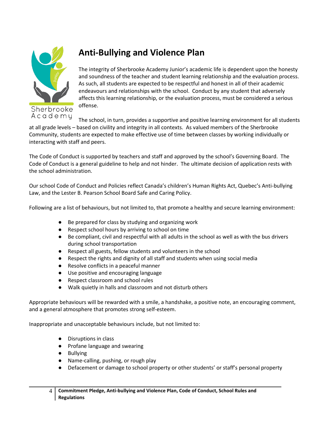

### **Anti-Bullying and Violence Plan**

The integrity of Sherbrooke Academy Junior's academic life is dependent upon the honesty and soundness of the teacher and student learning relationship and the evaluation process. As such, all students are expected to be respectful and honest in all of their academic endeavours and relationships with the school. Conduct by any student that adversely affects this learning relationship, or the evaluation process, must be considered a serious offense.

The school, in turn, provides a supportive and positive learning environment for all students at all grade levels – based on civility and integrity in all contexts. As valued members of the Sherbrooke Community, students are expected to make effective use of time between classes by working individually or interacting with staff and peers.

The Code of Conduct is supported by teachers and staff and approved by the school's Governing Board. The Code of Conduct is a general guideline to help and not hinder. The ultimate decision of application rests with the school administration.

Our school Code of Conduct and Policies reflect Canada's children's Human Rights Act, Quebec's Anti-bullying Law, and the Lester B. Pearson School Board Safe and Caring Policy.

Following are a list of behaviours, but not limited to, that promote a healthy and secure learning environment:

- Be prepared for class by studying and organizing work
- Respect school hours by arriving to school on time
- Be compliant, civil and respectful with all adults in the school as well as with the bus drivers during school transportation
- Respect all guests, fellow students and volunteers in the school
- Respect the rights and dignity of all staff and students when using social media
- Resolve conflicts in a peaceful manner
- Use positive and encouraging language
- Respect classroom and school rules
- Walk quietly in halls and classroom and not disturb others

Appropriate behaviours will be rewarded with a smile, a handshake, a positive note, an encouraging comment, and a general atmosphere that promotes strong self-esteem.

Inappropriate and unacceptable behaviours include, but not limited to:

- Disruptions in class
- Profane language and swearing
- Bullying
- Name-calling, pushing, or rough play
- Defacement or damage to school property or other students' or staff's personal property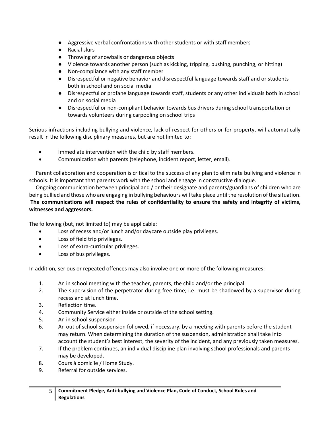- Aggressive verbal confrontations with other students or with staff members
- Racial slurs
- Throwing of snowballs or dangerous objects
- Violence towards another person (such as kicking, tripping, pushing, punching, or hitting)
- Non-compliance with any staff member
- Disrespectful or negative behavior and disrespectful language towards staff and or students both in school and on social media
- Disrespectful or profane language towards staff, students or any other individuals both in school and on social media
- Disrespectful or non-compliant behavior towards bus drivers during school transportation or towards volunteers during carpooling on school trips

Serious infractions including bullying and violence, lack of respect for others or for property, will automatically result in the following disciplinary measures, but are not limited to:

- Immediate intervention with the child by staff members.
- Communication with parents (telephone, incident report, letter, email).

 Parent collaboration and cooperation is critical to the success of any plan to eliminate bullying and violence in schools. It is important that parents work with the school and engage in constructive dialogue.

 Ongoing communication between principal and / or their designate and parents/guardians of children who are being bullied and those who are engaging in bullying behaviours will take place until the resolution of the situation. **The communications will respect the rules of confidentiality to ensure the safety and integrity of victims, witnesses and aggressors.**

The following (but, not limited to) may be applicable:

- Loss of recess and/or lunch and/or daycare outside play privileges.
- Loss of field trip privileges.
- Loss of extra-curricular privileges.
- Loss of bus privileges.

In addition, serious or repeated offences may also involve one or more of the following measures:

- 1. An in school meeting with the teacher, parents, the child and/or the principal.
- 2. The supervision of the perpetrator during free time; i.e. must be shadowed by a supervisor during recess and at lunch time.
- 3. Reflection time.
- 4. Community Service either inside or outside of the school setting.
- 5. An in school suspension
- 6. An out of school suspension followed, if necessary, by a meeting with parents before the student may return. When determining the duration of the suspension, administration shall take into account the student's best interest, the severity of the incident, and any previously taken measures.
- 7. If the problem continues, an individual discipline plan involving school professionals and parents may be developed.
- 8. Cours à domicile / Home Study.
- 9. Referral for outside services.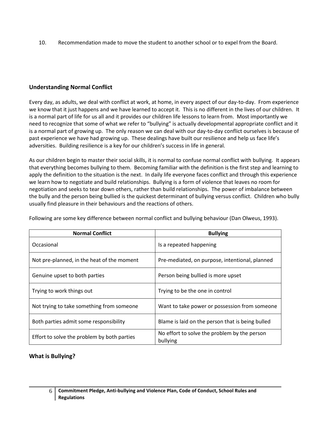10. Recommendation made to move the student to another school or to expel from the Board.

#### **Understanding Normal Conflict**

Every day, as adults, we deal with conflict at work, at home, in every aspect of our day-to-day. From experience we know that it just happens and we have learned to accept it. This is no different in the lives of our children. It is a normal part of life for us all and it provides our children life lessons to learn from. Most importantly we need to recognize that some of what we refer to "bullying" is actually developmental appropriate conflict and it is a normal part of growing up. The only reason we can deal with our day-to-day conflict ourselves is because of past experience we have had growing up. These dealings have built our resilience and help us face life's adversities. Building resilience is a key for our children's success in life in general.

As our children begin to master their social skills, it is normal to confuse normal conflict with bullying. It appears that everything becomes bullying to them. Becoming familiar with the definition is the first step and learning to apply the definition to the situation is the next. In daily life everyone faces conflict and through this experience we learn how to negotiate and build relationships. Bullying is a form of violence that leaves no room for negotiation and seeks to tear down others, rather than build relationships. The power of imbalance between the bully and the person being bullied is the quickest determinant of bullying versus conflict. Children who bully usually find pleasure in their behaviours and the reactions of others.

| <b>Normal Conflict</b>                      | <b>Bullying</b>                                          |  |
|---------------------------------------------|----------------------------------------------------------|--|
| Occasional                                  | Is a repeated happening                                  |  |
| Not pre-planned, in the heat of the moment  | Pre-mediated, on purpose, intentional, planned           |  |
| Genuine upset to both parties               | Person being bullied is more upset                       |  |
| Trying to work things out                   | Trying to be the one in control                          |  |
| Not trying to take something from someone   | Want to take power or possession from someone            |  |
| Both parties admit some responsibility      | Blame is laid on the person that is being bulled         |  |
| Effort to solve the problem by both parties | No effort to solve the problem by the person<br>bullying |  |

Following are some key difference between normal conflict and bullying behaviour (Dan Olweus, 1993).

#### **What is Bullying?**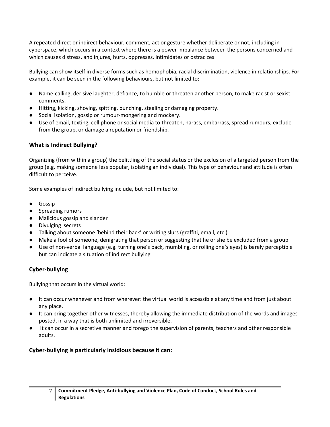A repeated direct or indirect behaviour, comment, act or gesture whether deliberate or not, including in cyberspace, which occurs in a context where there is a power imbalance between the persons concerned and which causes distress, and injures, hurts, oppresses, intimidates or ostracizes.

Bullying can show itself in diverse forms such as homophobia, racial discrimination, violence in relationships. For example, it can be seen in the following behaviours, but not limited to:

- Name-calling, derisive laughter, defiance, to humble or threaten another person, to make racist or sexist comments.
- Hitting, kicking, shoving, spitting, punching, stealing or damaging property.
- Social isolation, gossip or rumour-mongering and mockery.
- Use of email, texting, cell phone or social media to threaten, harass, embarrass, spread rumours, exclude from the group, or damage a reputation or friendship.

#### **What is Indirect Bullying?**

Organizing (from within a group) the belittling of the social status or the exclusion of a targeted person from the group (e.g. making someone less popular, isolating an individual). This type of behaviour and attitude is often difficult to perceive.

Some examples of indirect bullying include, but not limited to:

- Gossip
- Spreading rumors
- Malicious gossip and slander
- Divulging secrets
- Talking about someone 'behind their back' or writing slurs (graffiti, email, etc.)
- Make a fool of someone, denigrating that person or suggesting that he or she be excluded from a group
- Use of non-verbal language (e.g. turning one's back, mumbling, or rolling one's eyes) is barely perceptible but can indicate a situation of indirect bullying

#### **Cyber-bullying**

Bullying that occurs in the virtual world:

- It can occur whenever and from wherever: the virtual world is accessible at any time and from just about any place.
- It can bring together other witnesses, thereby allowing the immediate distribution of the words and images posted, in a way that is both unlimited and irreversible.
- It can occur in a secretive manner and forego the supervision of parents, teachers and other responsible adults.

#### **Cyber-bullying is particularly insidious because it can:**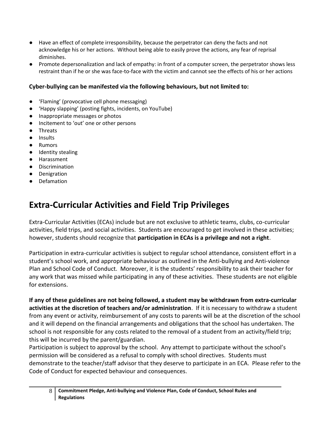- Have an effect of complete irresponsibility, because the perpetrator can deny the facts and not acknowledge his or her actions. Without being able to easily prove the actions, any fear of reprisal diminishes.
- Promote depersonalization and lack of empathy: in front of a computer screen, the perpetrator shows less restraint than if he or she was face-to-face with the victim and cannot see the effects of his or her actions

#### **Cyber-bullying can be manifested via the following behaviours, but not limited to:**

- 'Flaming' (provocative cell phone messaging)
- 'Happy slapping' (posting fights, incidents, on YouTube)
- Inappropriate messages or photos
- Incitement to 'out' one or other persons
- **Threats**
- Insults
- **Rumors**
- Identity stealing
- Harassment
- Discrimination
- Denigration
- Defamation

### **Extra-Curricular Activities and Field Trip Privileges**

Extra-Curricular Activities (ECAs) include but are not exclusive to athletic teams, clubs, co-curricular activities, field trips, and social activities. Students are encouraged to get involved in these activities; however, students should recognize that **participation in ECAs is a privilege and not a right**.

Participation in extra-curricular activities is subject to regular school attendance, consistent effort in a student's school work, and appropriate behaviour as outlined in the Anti-bullying and Anti-violence Plan and School Code of Conduct. Moreover, it is the students' responsibility to ask their teacher for any work that was missed while participating in any of these activities. These students are not eligible for extensions.

**If any of these guidelines are not being followed, a student may be withdrawn from extra-curricular activities at the discretion of teachers and/or administration**. If it is necessary to withdraw a student from any event or activity, reimbursement of any costs to parents will be at the discretion of the school and it will depend on the financial arrangements and obligations that the school has undertaken. The school is not responsible for any costs related to the removal of a student from an activity/field trip; this will be incurred by the parent/guardian.

Participation is subject to approval by the school. Any attempt to participate without the school's permission will be considered as a refusal to comply with school directives. Students must demonstrate to the teacher/staff advisor that they deserve to participate in an ECA. Please refer to the Code of Conduct for expected behaviour and consequences.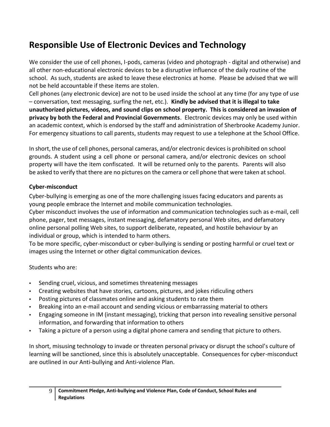### **Responsible Use of Electronic Devices and Technology**

We consider the use of cell phones, I-pods, cameras (video and photograph - digital and otherwise) and all other non-educational electronic devices to be a disruptive influence of the daily routine of the school. As such, students are asked to leave these electronics at home. Please be advised that we will not be held accountable if these items are stolen.

Cell phones (any electronic device) are not to be used inside the school at any time (for any type of use – conversation, text messaging, surfing the net, etc.). **Kindly be advised that it is illegal to take unauthorized pictures, videos, and sound clips on school property. This is considered an invasion of privacy by both the Federal and Provincial Governments**. Electronic devices may only be used within an academic context, which is endorsed by the staff and administration of Sherbrooke Academy Junior. For emergency situations to call parents, students may request to use a telephone at the School Office.

In short, the use of cell phones, personal cameras, and/or electronic devices is prohibited on school grounds. A student using a cell phone or personal camera, and/or electronic devices on school property will have the item confiscated. It will be returned only to the parents. Parents will also be asked to verify that there are no pictures on the camera or cell phone that were taken at school.

#### **Cyber-misconduct**

Cyber-bullying is emerging as one of the more challenging issues facing educators and parents as young people embrace the Internet and mobile communication technologies.

Cyber misconduct involves the use of information and communication technologies such as e-mail, cell phone, pager, text messages, instant messaging, defamatory personal Web sites, and defamatory online personal polling Web sites, to support deliberate, repeated, and hostile behaviour by an individual or group, which is intended to harm others.

To be more specific, cyber-misconduct or cyber-bullying is sending or posting harmful or cruel text or images using the Internet or other digital communication devices.

Students who are:

- Sending cruel, vicious, and sometimes threatening messages
- Creating websites that have stories, cartoons, pictures, and jokes ridiculing others
- Posting pictures of classmates online and asking students to rate them
- Breaking into an e-mail account and sending vicious or embarrassing material to others
- Engaging someone in IM (instant messaging), tricking that person into revealing sensitive personal information, and forwarding that information to others
- Taking a picture of a person using a digital phone camera and sending that picture to others.

In short, misusing technology to invade or threaten personal privacy or disrupt the school's culture of learning will be sanctioned, since this is absolutely unacceptable. Consequences for cyber-misconduct are outlined in our Anti-bullying and Anti-violence Plan.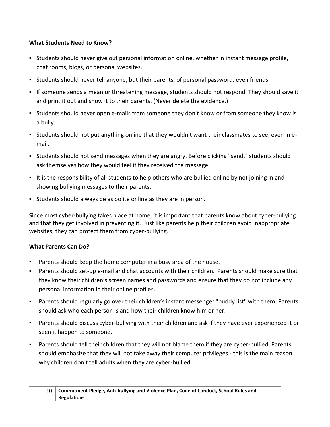#### **What Students Need to Know?**

- **EXECT Students should never give out personal information online, whether in instant message profile,** chat rooms, blogs, or personal websites.
- Students should never tell anyone, but their parents, of personal password, even friends.
- If someone sends a mean or threatening message, students should not respond. They should save it and print it out and show it to their parents. (Never delete the evidence.)
- Students should never open e-mails from someone they don't know or from someone they know is a bully.
- Students should not put anything online that they wouldn't want their classmates to see, even in email.
- Students should not send messages when they are angry. Before clicking "send," students should ask themselves how they would feel if they received the message.
- It is the responsibility of all students to help others who are bullied online by not joining in and showing bullying messages to their parents.
- Students should always be as polite online as they are in person.

Since most cyber-bullying takes place at home, it is important that parents know about cyber-bullying and that they get involved in preventing it. Just like parents help their children avoid inappropriate websites, they can protect them from cyber-bullying.

#### **What Parents Can Do?**

- Parents should keep the home computer in a busy area of the house.
- Parents should set-up e-mail and chat accounts with their children. Parents should make sure that they know their children's screen names and passwords and ensure that they do not include any personal information in their online profiles.
- Parents should regularly go over their children's instant messenger "buddy list" with them. Parents should ask who each person is and how their children know him or her.
- Parents should discuss cyber-bullying with their children and ask if they have ever experienced it or seen it happen to someone.
- Parents should tell their children that they will not blame them if they are cyber-bullied. Parents should emphasize that they will not take away their computer privileges - this is the main reason why children don't tell adults when they are cyber-bullied.